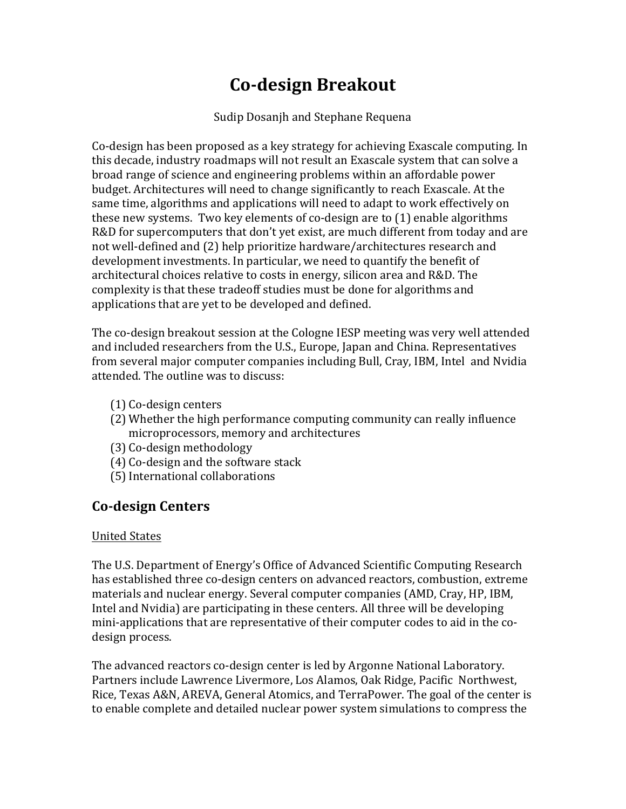# **Co-design Breakout**

#### Sudip Dosanjh and Stephane Requena

Co-design has been proposed as a key strategy for achieving Exascale computing. In this decade, industry roadmaps will not result an Exascale system that can solve a broad range of science and engineering problems within an affordable power budget. Architectures will need to change significantly to reach Exascale. At the same time, algorithms and applications will need to adapt to work effectively on these new systems. Two key elements of co-design are to  $(1)$  enable algorithms R&D for supercomputers that don't yet exist, are much different from today and are not well-defined and (2) help prioritize hardware/architectures research and development investments. In particular, we need to quantify the benefit of architectural choices relative to costs in energy, silicon area and R&D. The complexity is that these tradeoff studies must be done for algorithms and applications that are yet to be developed and defined.

The co-design breakout session at the Cologne IESP meeting was very well attended and included researchers from the U.S., Europe, Japan and China. Representatives from several major computer companies including Bull, Cray, IBM, Intel and Nvidia attended. The outline was to discuss:

- (1) Co-design centers
- $(2)$  Whether the high performance computing community can really influence microprocessors, memory and architectures
- (3) Co-design methodology
- (4) Co-design and the software stack
- (5) International collaborations

## **Co-design Centers**

#### United States

The U.S. Department of Energy's Office of Advanced Scientific Computing Research has established three co-design centers on advanced reactors, combustion, extreme materials and nuclear energy. Several computer companies (AMD, Cray, HP, IBM, Intel and Nvidia) are participating in these centers. All three will be developing mini-applications that are representative of their computer codes to aid in the codesign process.

The advanced reactors co-design center is led by Argonne National Laboratory. Partners include Lawrence Livermore, Los Alamos, Oak Ridge, Pacific Northwest, Rice, Texas A&N, AREVA, General Atomics, and TerraPower. The goal of the center is to enable complete and detailed nuclear power system simulations to compress the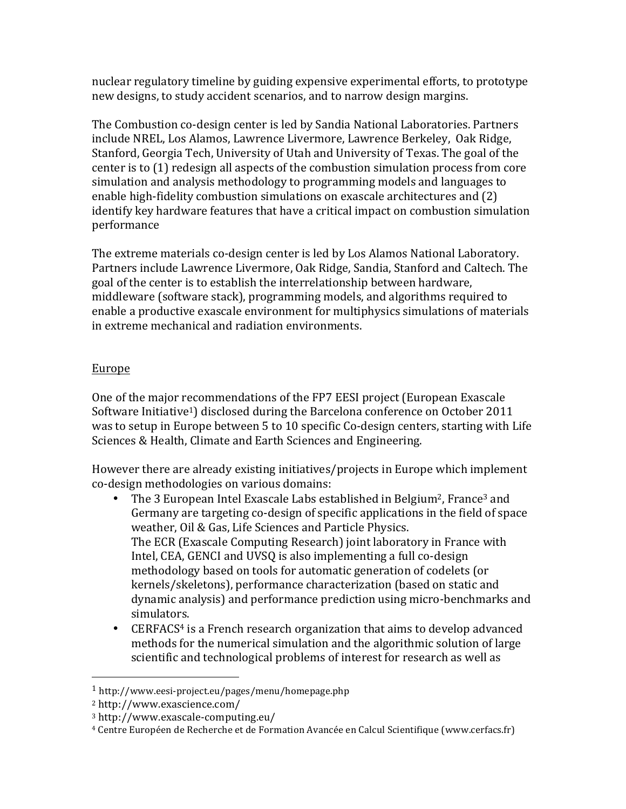nuclear regulatory timeline by guiding expensive experimental efforts, to prototype new designs, to study accident scenarios, and to narrow design margins.

The Combustion co-design center is led by Sandia National Laboratories. Partners include NREL, Los Alamos, Lawrence Livermore, Lawrence Berkeley, Oak Ridge, Stanford, Georgia Tech, University of Utah and University of Texas. The goal of the center is to  $(1)$  redesign all aspects of the combustion simulation process from core simulation and analysis methodology to programming models and languages to enable high-fidelity combustion simulations on exascale architectures and (2) identify key hardware features that have a critical impact on combustion simulation performance

The extreme materials co-design center is led by Los Alamos National Laboratory. Partners include Lawrence Livermore, Oak Ridge, Sandia, Stanford and Caltech. The goal of the center is to establish the interrelationship between hardware, middleware (software stack), programming models, and algorithms required to enable a productive exascale environment for multiphysics simulations of materials in extreme mechanical and radiation environments.

### Europe

One of the major recommendations of the FP7 EESI project (European Exascale Software Initiative<sup>1</sup>) disclosed during the Barcelona conference on October 2011 was to setup in Europe between 5 to 10 specific Co-design centers, starting with Life Sciences & Health, Climate and Earth Sciences and Engineering.

However there are already existing initiatives/projects in Europe which implement co-design methodologies on various domains:

- The 3 European Intel Exascale Labs established in Belgium<sup>2</sup>, France<sup>3</sup> and Germany are targeting co-design of specific applications in the field of space weather, Oil & Gas, Life Sciences and Particle Physics. The ECR (Exascale Computing Research) joint laboratory in France with Intel, CEA, GENCI and UVSQ is also implementing a full co-design methodology based on tools for automatic generation of codelets (or kernels/skeletons), performance characterization (based on static and dynamic analysis) and performance prediction using micro-benchmarks and simulators.
- CERFACS<sup>4</sup> is a French research organization that aims to develop advanced methods for the numerical simulation and the algorithmic solution of large scientific and technological problems of interest for research as well as

 

<sup>1</sup> http://www.eesi-project.eu/pages/menu/homepage.php

<sup>2</sup> http://www.exascience.com/

<sup>3</sup> http://www.exascale-computing.eu/

<sup>&</sup>lt;sup>4</sup> Centre Européen de Recherche et de Formation Avancée en Calcul Scientifique (www.cerfacs.fr)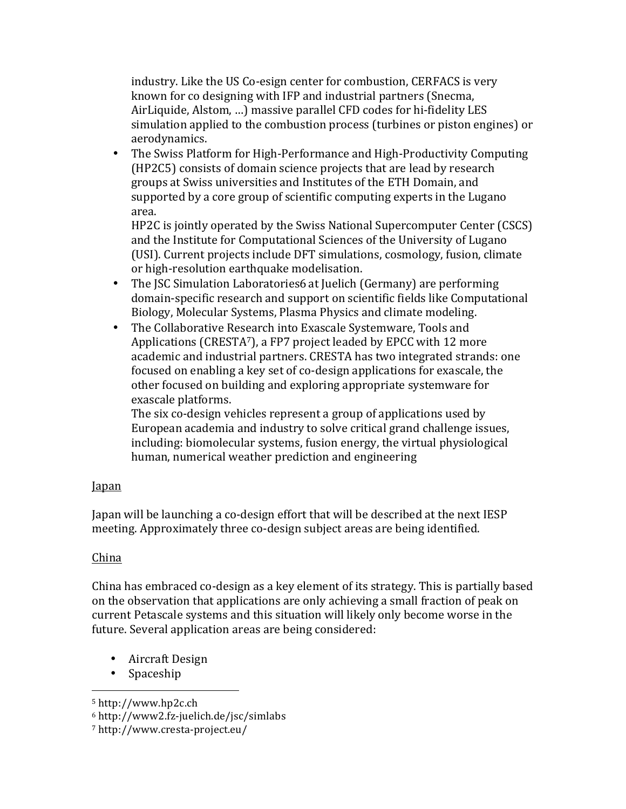industry. Like the US Co-esign center for combustion, CERFACS is very known for co designing with IFP and industrial partners (Snecma, AirLiquide, Alstom, ...) massive parallel CFD codes for hi-fidelity LES simulation applied to the combustion process (turbines or piston engines) or aerodynamics.

• The Swiss Platform for High-Performance and High-Productivity Computing (HP2C5) consists of domain science projects that are lead by research groups at Swiss universities and Institutes of the ETH Domain, and supported by a core group of scientific computing experts in the Lugano area. 

HP2C is jointly operated by the Swiss National Supercomputer Center (CSCS) and the Institute for Computational Sciences of the University of Lugano (USI). Current projects include DFT simulations, cosmology, fusion, climate or high-resolution earthquake modelisation.

- The JSC Simulation Laboratories6 at Juelich (Germany) are performing domain-specific research and support on scientific fields like Computational Biology, Molecular Systems, Plasma Physics and climate modeling.
- The Collaborative Research into Exascale Systemware, Tools and Applications (CRESTA<sup>7</sup>), a FP7 project leaded by EPCC with 12 more academic and industrial partners. CRESTA has two integrated strands: one focused on enabling a key set of co-design applications for exascale, the other focused on building and exploring appropriate systemware for exascale platforms.

The six co-design vehicles represent a group of applications used by European academia and industry to solve critical grand challenge issues, including: biomolecular systems, fusion energy, the virtual physiological human, numerical weather prediction and engineering

#### Japan

Japan will be launching a co-design effort that will be described at the next IESP meeting. Approximately three co-design subject areas are being identified.

#### China

China has embraced co-design as a key element of its strategy. This is partially based on the observation that applications are only achieving a small fraction of peak on current Petascale systems and this situation will likely only become worse in the future. Several application areas are being considered:

• Aircraft Design

 

• Spaceship 

<sup>5</sup> http://www.hp2c.ch

<sup>6</sup> http://www2.fz-juelich.de/jsc/simlabs

<sup>7</sup> http://www.cresta-project.eu/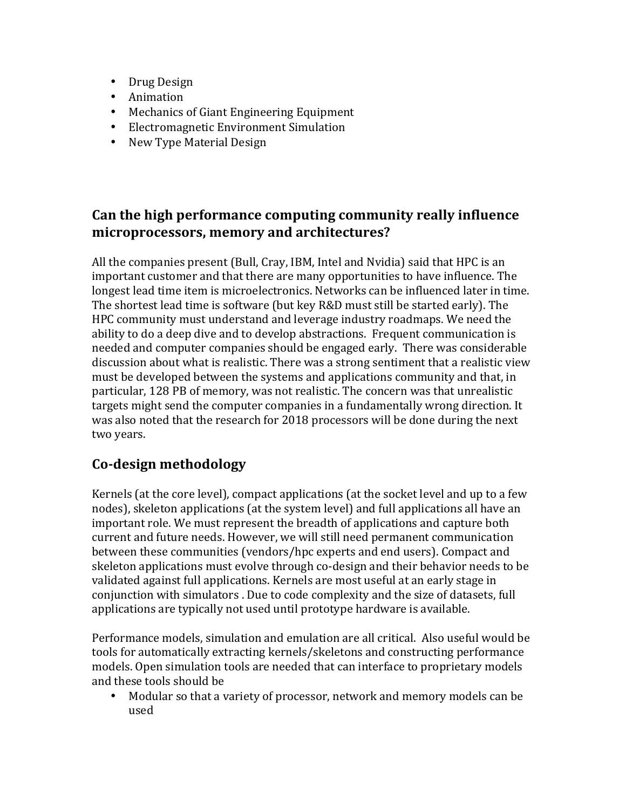- Drug Design
- Animation
- Mechanics of Giant Engineering Equipment
- Electromagnetic Environment Simulation
- New Type Material Design

## Can the high performance computing community really influence **microprocessors, memory and architectures?**

All the companies present (Bull, Cray, IBM, Intel and Nvidia) said that HPC is an important customer and that there are many opportunities to have influence. The longest lead time item is microelectronics. Networks can be influenced later in time. The shortest lead time is software (but key R&D must still be started early). The HPC community must understand and leverage industry roadmaps. We need the ability to do a deep dive and to develop abstractions. Frequent communication is needed and computer companies should be engaged early. There was considerable discussion about what is realistic. There was a strong sentiment that a realistic view must be developed between the systems and applications community and that, in particular, 128 PB of memory, was not realistic. The concern was that unrealistic targets might send the computer companies in a fundamentally wrong direction. It was also noted that the research for 2018 processors will be done during the next two years.

## **Co-design methodology**

Kernels (at the core level), compact applications (at the socket level and up to a few nodes), skeleton applications (at the system level) and full applications all have an important role. We must represent the breadth of applications and capture both current and future needs. However, we will still need permanent communication between these communities (vendors/hpc experts and end users). Compact and skeleton applications must evolve through co-design and their behavior needs to be validated against full applications. Kernels are most useful at an early stage in conjunction with simulators . Due to code complexity and the size of datasets, full applications are typically not used until prototype hardware is available.

Performance models, simulation and emulation are all critical. Also useful would be tools for automatically extracting kernels/skeletons and constructing performance models. Open simulation tools are needed that can interface to proprietary models and these tools should be

• Modular so that a variety of processor, network and memory models can be used